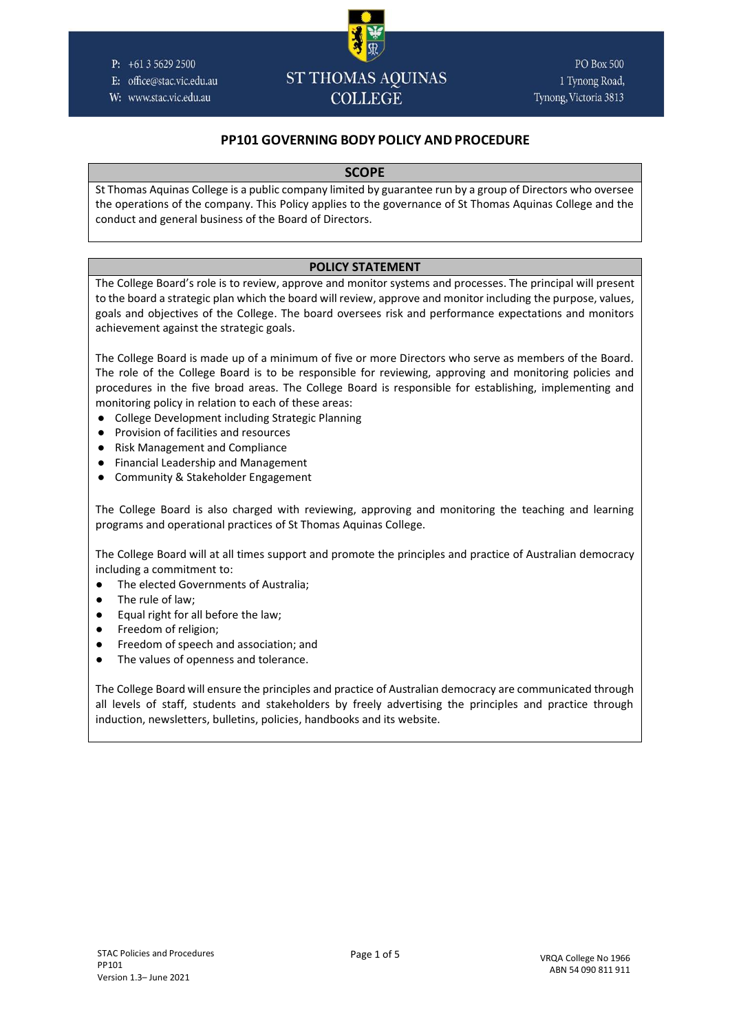#### P:  $+61356292500$

- E: office@stac.vic.edu.au
- W: www.stac.vic.edu.au

# **ST THOMAS AQUINAS COLLEGE**

**PO Box 500** 1 Tynong Road, Tynong, Victoria 3813

# **PP101 GOVERNING BODY POLICY AND PROCEDURE**

#### **SCOPE**

St Thomas Aquinas College is a public company limited by guarantee run by a group of Directors who oversee the operations of the company. This Policy applies to the governance of St Thomas Aquinas College and the conduct and general business of the Board of Directors.

### **POLICY STATEMENT**

The College Board's role is to review, approve and monitor systems and processes. The principal will present to the board a strategic plan which the board will review, approve and monitor including the purpose, values, goals and objectives of the College. The board oversees risk and performance expectations and monitors achievement against the strategic goals.

The College Board is made up of a minimum of five or more Directors who serve as members of the Board. The role of the College Board is to be responsible for reviewing, approving and monitoring policies and procedures in the five broad areas. The College Board is responsible for establishing, implementing and monitoring policy in relation to each of these areas:

- College Development including Strategic Planning
- Provision of facilities and resources
- Risk Management and Compliance
- Financial Leadership and Management
- Community & Stakeholder Engagement

The College Board is also charged with reviewing, approving and monitoring the teaching and learning programs and operational practices of St Thomas Aquinas College.

The College Board will at all times support and promote the principles and practice of Australian democracy including a commitment to:

- The elected Governments of Australia;
- The rule of law;
- Equal right for all before the law;
- Freedom of religion;
- Freedom of speech and association; and
- The values of openness and tolerance.

The College Board will ensure the principles and practice of Australian democracy are communicated through all levels of staff, students and stakeholders by freely advertising the principles and practice through induction, newsletters, bulletins, policies, handbooks and its website.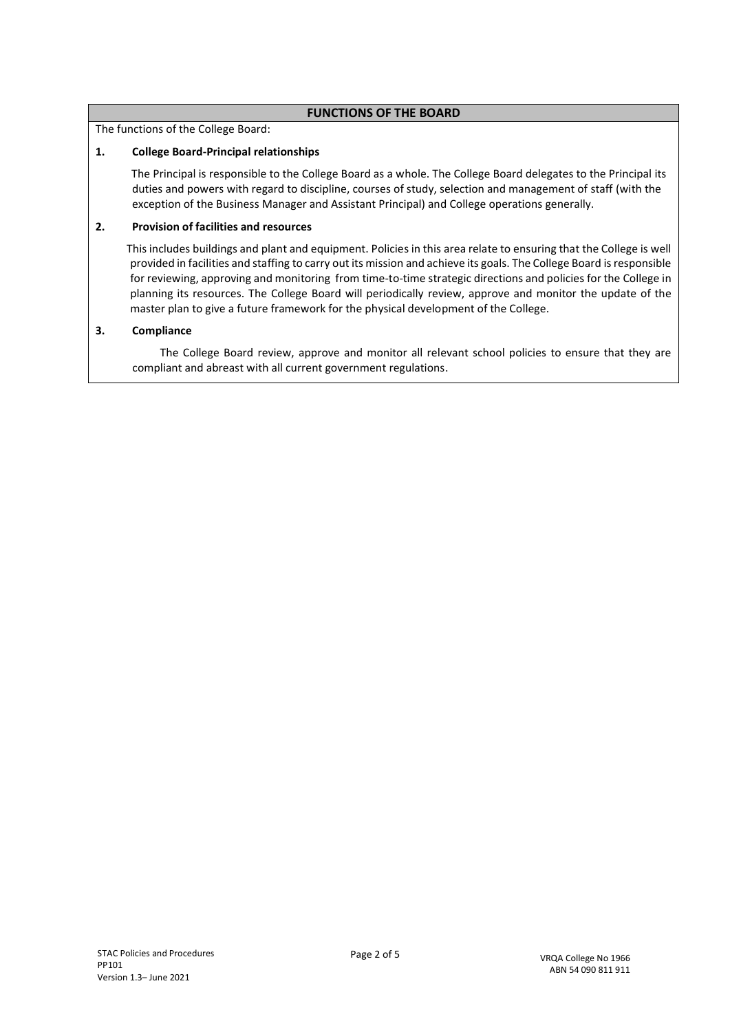# **FUNCTIONS OF THE BOARD**

The functions of the College Board:

### **1. College Board-Principal relationships**

 The Principal is responsible to the College Board as a whole. The College Board delegates to the Principal its duties and powers with regard to discipline, courses of study, selection and management of staff (with the exception of the Business Manager and Assistant Principal) and College operations generally.

#### **2. Provision of facilities and resources**

 This includes buildings and plant and equipment. Policies in this area relate to ensuring that the College is well provided in facilities and staffing to carry out its mission and achieve its goals. The College Board is responsible for reviewing, approving and monitoring from time-to-time strategic directions and policies for the College in planning its resources. The College Board will periodically review, approve and monitor the update of the master plan to give a future framework for the physical development of the College.

#### **3. Compliance**

 The College Board review, approve and monitor all relevant school policies to ensure that they are compliant and abreast with all current government regulations.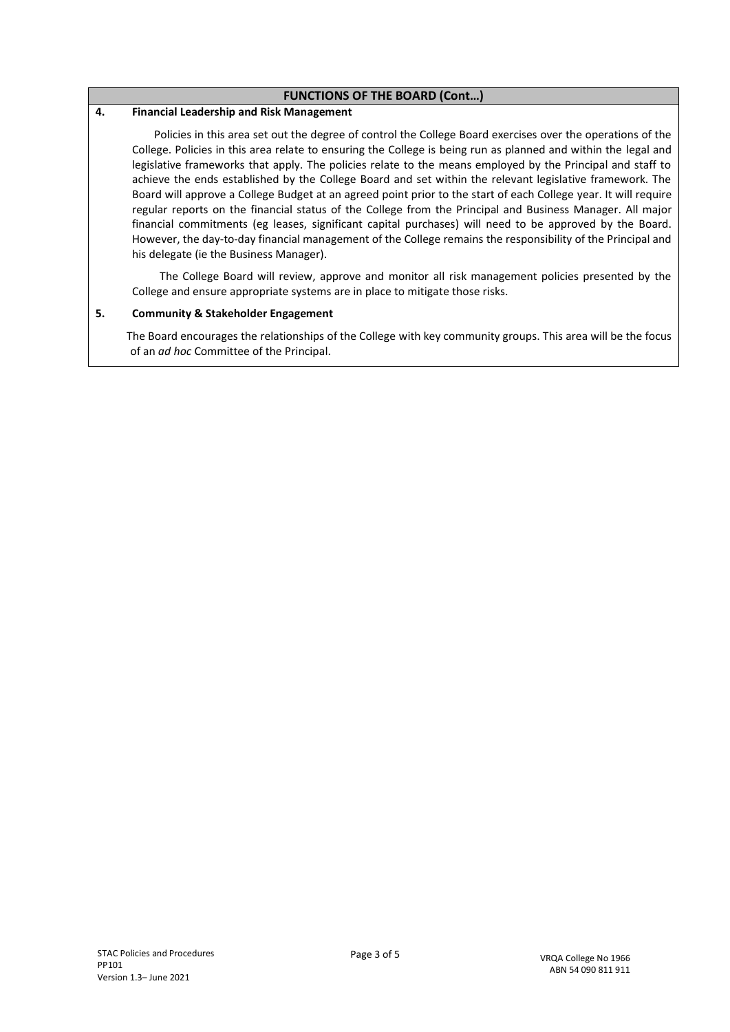#### **FUNCTIONS OF THE BOARD (Cont…)**

#### **4. Financial Leadership and Risk Management**

 Policies in this area set out the degree of control the College Board exercises over the operations of the College. Policies in this area relate to ensuring the College is being run as planned and within the legal and legislative frameworks that apply. The policies relate to the means employed by the Principal and staff to achieve the ends established by the College Board and set within the relevant legislative framework. The Board will approve a College Budget at an agreed point prior to the start of each College year. It will require regular reports on the financial status of the College from the Principal and Business Manager. All major financial commitments (eg leases, significant capital purchases) will need to be approved by the Board. However, the day-to-day financial management of the College remains the responsibility of the Principal and his delegate (ie the Business Manager).

 The College Board will review, approve and monitor all risk management policies presented by the College and ensure appropriate systems are in place to mitigate those risks.

#### **5. Community & Stakeholder Engagement**

 The Board encourages the relationships of the College with key community groups. This area will be the focus of an *ad hoc* Committee of the Principal.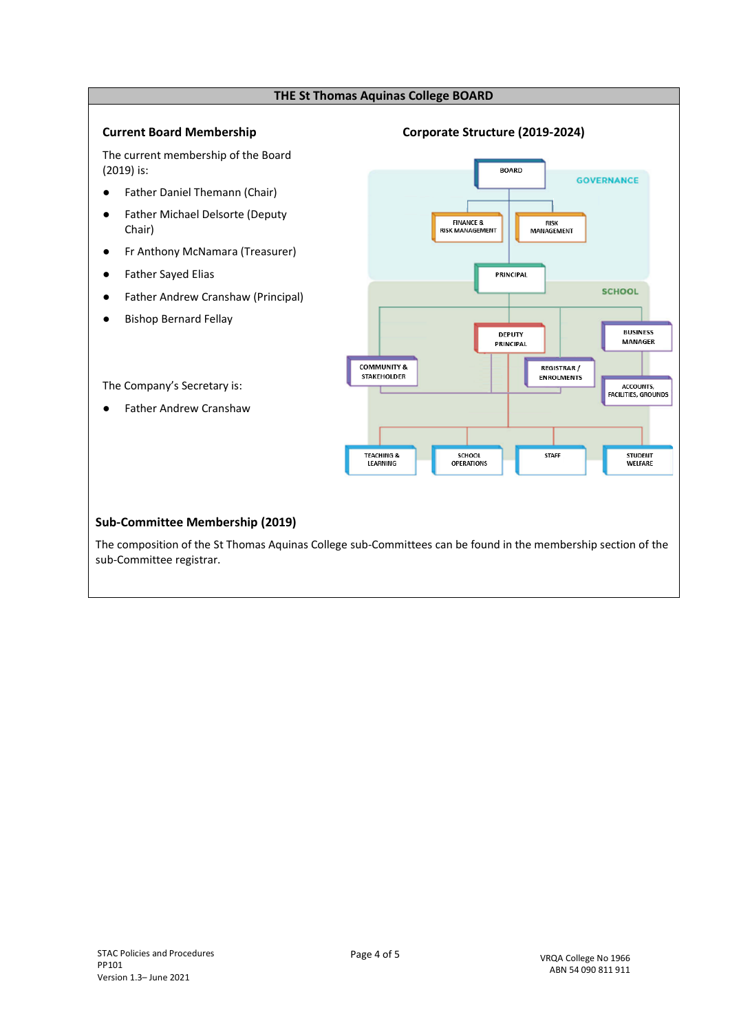